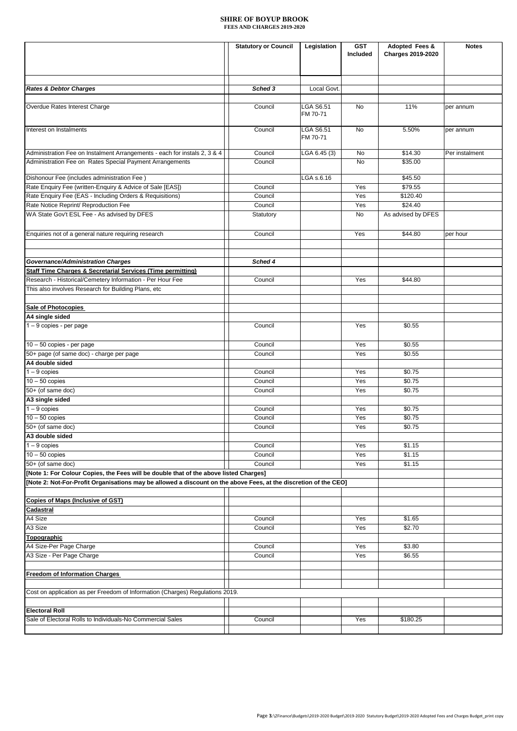|                                                                                                                  | <b>Statutory or Council</b> | Legislation      | <b>GST</b> | Adopted Fees &           | <b>Notes</b>   |
|------------------------------------------------------------------------------------------------------------------|-----------------------------|------------------|------------|--------------------------|----------------|
|                                                                                                                  |                             |                  | Included   | <b>Charges 2019-2020</b> |                |
|                                                                                                                  |                             |                  |            |                          |                |
|                                                                                                                  |                             |                  |            |                          |                |
|                                                                                                                  |                             |                  |            |                          |                |
| <b>Rates &amp; Debtor Charges</b>                                                                                | Sched 3                     | Local Govt.      |            |                          |                |
|                                                                                                                  |                             |                  |            |                          |                |
| Overdue Rates Interest Charge                                                                                    | Council                     | LGA S6.51        | No         | 11%                      | per annum      |
|                                                                                                                  |                             | FM 70-71         |            |                          |                |
|                                                                                                                  |                             |                  |            |                          |                |
| Interest on Instalments                                                                                          | Council                     | <b>LGA S6.51</b> | No         | 5.50%                    | per annum      |
|                                                                                                                  |                             | FM 70-71         |            |                          |                |
| Administration Fee on Instalment Arrangements - each for instals 2, 3 & 4                                        | Council                     | LGA 6.45 (3)     | No         | \$14.30                  | Per instalment |
|                                                                                                                  |                             |                  |            |                          |                |
| Administration Fee on Rates Special Payment Arrangements                                                         | Council                     |                  | No         | \$35.00                  |                |
| Dishonour Fee (includes administration Fee)                                                                      |                             | LGA s.6.16       |            | \$45.50                  |                |
| Rate Enquiry Fee (written-Enquiry & Advice of Sale [EAS])                                                        | Council                     |                  | Yes        | \$79.55                  |                |
| Rate Enquiry Fee (EAS - Including Orders & Requisitions)                                                         |                             |                  |            |                          |                |
|                                                                                                                  | Council                     |                  | Yes        | \$120.40                 |                |
| Rate Notice Reprint/ Reproduction Fee                                                                            | Council                     |                  | Yes        | \$24.40                  |                |
| WA State Gov't ESL Fee - As advised by DFES                                                                      | Statutory                   |                  | No         | As advised by DFES       |                |
|                                                                                                                  |                             |                  |            |                          |                |
| Enquiries not of a general nature requiring research                                                             | Council                     |                  | Yes        | \$44.80                  | per hour       |
|                                                                                                                  |                             |                  |            |                          |                |
|                                                                                                                  |                             |                  |            |                          |                |
| <b>Governance/Administration Charges</b>                                                                         | Sched 4                     |                  |            |                          |                |
| Staff Time Charges & Secretarial Services (Time permitting)                                                      |                             |                  |            |                          |                |
| Research - Historical/Cemetery Information - Per Hour Fee                                                        | Council                     |                  | Yes        | \$44.80                  |                |
| This also involves Research for Building Plans, etc                                                              |                             |                  |            |                          |                |
|                                                                                                                  |                             |                  |            |                          |                |
|                                                                                                                  |                             |                  |            |                          |                |
| <b>Sale of Photocopies</b>                                                                                       |                             |                  |            |                          |                |
| A4 single sided                                                                                                  |                             |                  |            |                          |                |
| $1 - 9$ copies - per page                                                                                        | Council                     |                  | Yes        | \$0.55                   |                |
|                                                                                                                  |                             |                  |            |                          |                |
| 10 - 50 copies - per page                                                                                        | Council                     |                  | Yes        | \$0.55                   |                |
| 50+ page (of same doc) - charge per page                                                                         | Council                     |                  | Yes        | \$0.55                   |                |
| A4 double sided                                                                                                  |                             |                  |            |                          |                |
| $1 - 9$ copies                                                                                                   | Council                     |                  | Yes        | \$0.75                   |                |
| $10 - 50$ copies                                                                                                 | Council                     |                  | Yes        | \$0.75                   |                |
| 50+ (of same doc)                                                                                                | Council                     |                  | Yes        | \$0.75                   |                |
| A3 single sided                                                                                                  |                             |                  |            |                          |                |
| $1 - 9$ copies                                                                                                   |                             |                  | Yes        |                          |                |
|                                                                                                                  | Council                     |                  |            | \$0.75                   |                |
| $10 - 50$ copies                                                                                                 | Council                     |                  | Yes        | \$0.75                   |                |
| 50+ (of same doc)                                                                                                | Council                     |                  | Yes        | \$0.75                   |                |
| A3 double sided                                                                                                  |                             |                  |            |                          |                |
| $1 - 9$ copies                                                                                                   | Council                     |                  | Yes        | \$1.15                   |                |
| $10 - 50$ copies                                                                                                 | Council                     |                  | Yes        | \$1.15                   |                |
| 50+ (of same doc)                                                                                                | Council                     |                  | Yes        | \$1.15                   |                |
| [Note 1: For Colour Copies, the Fees will be double that of the above listed Charges]                            |                             |                  |            |                          |                |
| [Note 2: Not-For-Profit Organisations may be allowed a discount on the above Fees, at the discretion of the CEO] |                             |                  |            |                          |                |
|                                                                                                                  |                             |                  |            |                          |                |
| <b>Copies of Maps (Inclusive of GST)</b>                                                                         |                             |                  |            |                          |                |
| Cadastral                                                                                                        |                             |                  |            |                          |                |
| A4 Size                                                                                                          | Council                     |                  | Yes        | \$1.65                   |                |
| A3 Size                                                                                                          | Council                     |                  | Yes        | \$2.70                   |                |
|                                                                                                                  |                             |                  |            |                          |                |
| Topographic                                                                                                      |                             |                  |            |                          |                |
| A4 Size-Per Page Charge                                                                                          | Council                     |                  | Yes        | \$3.80                   |                |
| A3 Size - Per Page Charge                                                                                        | Council                     |                  | Yes        | \$6.55                   |                |
|                                                                                                                  |                             |                  |            |                          |                |
| <b>Freedom of Information Charges</b>                                                                            |                             |                  |            |                          |                |
|                                                                                                                  |                             |                  |            |                          |                |
| Cost on application as per Freedom of Information (Charges) Regulations 2019.                                    |                             |                  |            |                          |                |
|                                                                                                                  |                             |                  |            |                          |                |
| <b>Electoral Roll</b>                                                                                            |                             |                  |            |                          |                |
| Sale of Electoral Rolls to Individuals-No Commercial Sales                                                       | Council                     |                  | Yes        | \$180.25                 |                |
|                                                                                                                  |                             |                  |            |                          |                |
|                                                                                                                  |                             |                  |            |                          |                |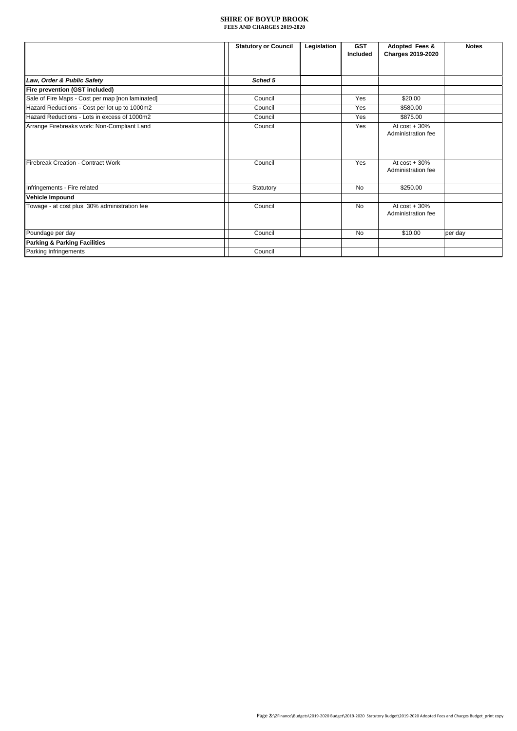|                                                  | <b>Statutory or Council</b> | Legislation | <b>GST</b><br>Included | Adopted Fees &<br><b>Charges 2019-2020</b> | <b>Notes</b> |
|--------------------------------------------------|-----------------------------|-------------|------------------------|--------------------------------------------|--------------|
| Law, Order & Public Safety                       | Sched 5                     |             |                        |                                            |              |
| Fire prevention (GST included)                   |                             |             |                        |                                            |              |
| Sale of Fire Maps - Cost per map [non laminated] | Council                     |             | Yes                    | \$20.00                                    |              |
| Hazard Reductions - Cost per lot up to 1000m2    | Council                     |             | Yes                    | \$580.00                                   |              |
| Hazard Reductions - Lots in excess of 1000m2     | Council                     |             | Yes                    | \$875.00                                   |              |
| Arrange Firebreaks work: Non-Compliant Land      | Council                     |             | Yes                    | At $cost + 30\%$<br>Administration fee     |              |
| Firebreak Creation - Contract Work               | Council                     |             | Yes                    | At $cost + 30\%$<br>Administration fee     |              |
| Infringements - Fire related                     | Statutory                   |             | <b>No</b>              | \$250.00                                   |              |
| Vehicle Impound                                  |                             |             |                        |                                            |              |
| Towage - at cost plus 30% administration fee     | Council                     |             | <b>No</b>              | At $cost + 30%$<br>Administration fee      |              |
| Poundage per day                                 | Council                     |             | No                     | \$10.00                                    | per day      |
| <b>Parking &amp; Parking Facilities</b>          |                             |             |                        |                                            |              |
| Parking Infringements                            | Council                     |             |                        |                                            |              |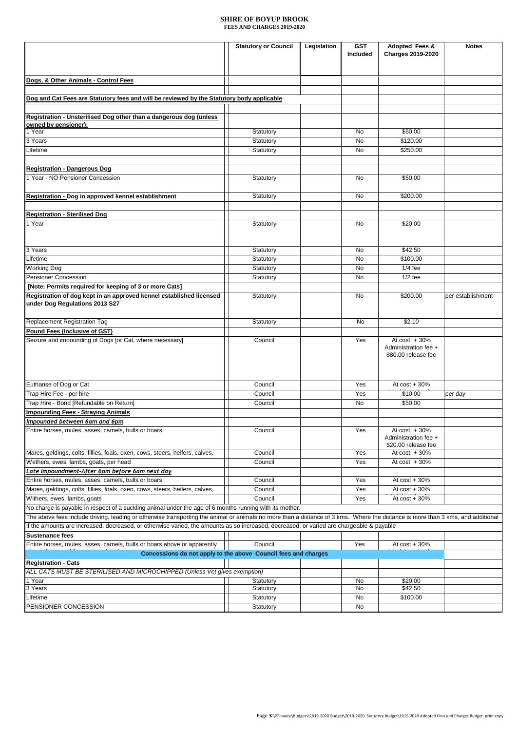|                                                                                                                                                                                 | <b>Statutory or Council</b> | Legislation | <b>GST</b> | Adopted Fees &                              | <b>Notes</b>      |
|---------------------------------------------------------------------------------------------------------------------------------------------------------------------------------|-----------------------------|-------------|------------|---------------------------------------------|-------------------|
|                                                                                                                                                                                 |                             |             | Included   | Charges 2019-2020                           |                   |
|                                                                                                                                                                                 |                             |             |            |                                             |                   |
|                                                                                                                                                                                 |                             |             |            |                                             |                   |
| Dogs, & Other Animals - Control Fees                                                                                                                                            |                             |             |            |                                             |                   |
|                                                                                                                                                                                 |                             |             |            |                                             |                   |
| Dog and Cat Fees are Statutory fees and will be reviewed by the Statutory body applicable                                                                                       |                             |             |            |                                             |                   |
|                                                                                                                                                                                 |                             |             |            |                                             |                   |
| Registration - Unsterilised Dog other than a dangerous dog (unless                                                                                                              |                             |             |            |                                             |                   |
| owned by pensioner):<br>1 Year                                                                                                                                                  | Statutory                   |             | No         | \$50.00                                     |                   |
| 3 Years                                                                                                                                                                         | Statutory                   |             | No         | \$120.00                                    |                   |
| Lifetime                                                                                                                                                                        | Statutory                   |             | No         | \$250.00                                    |                   |
|                                                                                                                                                                                 |                             |             |            |                                             |                   |
| <b>Registration - Dangerous Dog</b>                                                                                                                                             |                             |             |            |                                             |                   |
| 1 Year - NO Pensioner Concession                                                                                                                                                | Statutory                   |             | No         | \$50.00                                     |                   |
|                                                                                                                                                                                 |                             |             |            |                                             |                   |
| Registration - Dog in approved kennel establishment                                                                                                                             | Statutory                   |             | No         | \$200.00                                    |                   |
|                                                                                                                                                                                 |                             |             |            |                                             |                   |
| <b>Registration - Sterilised Dog</b>                                                                                                                                            |                             |             |            |                                             |                   |
| 1 Year                                                                                                                                                                          | Statutory                   |             | No         | \$20.00                                     |                   |
|                                                                                                                                                                                 |                             |             |            |                                             |                   |
|                                                                                                                                                                                 |                             |             |            |                                             |                   |
| 3 Years                                                                                                                                                                         | Statutory                   |             | No         | \$42.50                                     |                   |
| Lifetime                                                                                                                                                                        | Statutory                   |             | No         | \$100.00                                    |                   |
| <b>Working Dog</b>                                                                                                                                                              | Statutory                   |             | No         | $1/4$ fee                                   |                   |
| Pensioner Concession                                                                                                                                                            | Statutory                   |             | No         | $1/2$ fee                                   |                   |
| [Note: Permits required for keeping of 3 or more Cats]                                                                                                                          |                             |             |            |                                             |                   |
| Registration of dog kept in an approved kennel established licensed                                                                                                             | Statutory                   |             | No         | \$200.00                                    | per establishment |
| under Dog Regulations 2013 S27                                                                                                                                                  |                             |             |            |                                             |                   |
|                                                                                                                                                                                 |                             |             |            |                                             |                   |
| Replacement Registration Tag                                                                                                                                                    | Statutory                   |             | No         | \$2.10                                      |                   |
| Pound Fees (Inclusive of GST)                                                                                                                                                   |                             |             |            |                                             |                   |
| Seizure and impounding of Dogs [or Cat, where necessary]                                                                                                                        | Council                     |             | Yes        | At $cost + 30%$                             |                   |
|                                                                                                                                                                                 |                             |             |            | Administration fee +<br>\$80.00 release fee |                   |
|                                                                                                                                                                                 |                             |             |            |                                             |                   |
|                                                                                                                                                                                 |                             |             |            |                                             |                   |
|                                                                                                                                                                                 |                             |             |            | At $cost + 30%$                             |                   |
| Euthanse of Dog or Cat<br>Trap Hire Fee - per hire                                                                                                                              | Council                     |             | Yes        |                                             |                   |
|                                                                                                                                                                                 | Council                     |             | Yes        | \$10.00                                     | per day           |
| Trap Hire - Bond [Refundable on Return]<br><b>Impounding Fees - Straying Animals</b>                                                                                            | Council                     |             | No         | \$50.00                                     |                   |
|                                                                                                                                                                                 |                             |             |            |                                             |                   |
| Impounded between 6am and 6pm<br>Entire horses, mules, asses, camels, bulls or boars                                                                                            | Council                     |             |            | At $cost + 30%$                             |                   |
|                                                                                                                                                                                 |                             |             | Yes        | Administration fee +                        |                   |
|                                                                                                                                                                                 |                             |             |            | \$20.00 release fee                         |                   |
| Mares, geldings, colts, fillies, foals, oxen, cows, steers, heifers, calves,                                                                                                    | Council                     |             | Yes        | At $cost + 30%$                             |                   |
| Wethers, ewes, lambs, goats, per head                                                                                                                                           | Council                     |             | Yes        | At $cost + 30\%$                            |                   |
| Late Impoundment-After 6pm before 6am next day                                                                                                                                  |                             |             |            |                                             |                   |
| Entire horses, mules, asses, camels, bulls or boars                                                                                                                             | Council                     |             | Yes        | At $cost + 30%$                             |                   |
| Mares, geldings, colts, fillies, foals, oxen, cows, steers, heifers, calves,                                                                                                    | Council                     |             | Yes        | At $cost + 30%$                             |                   |
| Withers, ewes, lambs, goats                                                                                                                                                     | Council                     |             | Yes        | At $cost + 30%$                             |                   |
| No charge is payable in respect of a suckling animal under the age of 6 months running with its mother.                                                                         |                             |             |            |                                             |                   |
| The above fees include driving, leading or otherwise transporting the animal or animals no more than a distance of 3 kms. Where the distance is more than 3 kms, and additional |                             |             |            |                                             |                   |
| If the amounts are increased, decreased, or otherwise varied, the amounts as so increased, decreased, or varied are chargeable & payable                                        |                             |             |            |                                             |                   |
| <b>Sustenance fees</b>                                                                                                                                                          |                             |             |            |                                             |                   |
| Entire horses, mules, asses, camels, bulls or boars above or apparently                                                                                                         | Council                     |             | Yes        | At $cost + 30%$                             |                   |
| Concessions do not apply to the above Council fees and charges                                                                                                                  |                             |             |            |                                             |                   |
| <b>Registration - Cats</b>                                                                                                                                                      |                             |             |            |                                             |                   |
| ALL CATS MUST BE STERILISED AND MICROCHIPPED (Unless Vet gives exemption)                                                                                                       |                             |             |            |                                             |                   |
| 1 Year                                                                                                                                                                          | Statutory                   |             | No         | \$20.00                                     |                   |
| 3 Years                                                                                                                                                                         | Statutory                   |             | No         | \$42.50                                     |                   |
| Lifetime                                                                                                                                                                        | Statutory                   |             | No         | \$100.00                                    |                   |
| PENSIONER CONCESSION                                                                                                                                                            | Statutory                   |             | No         |                                             |                   |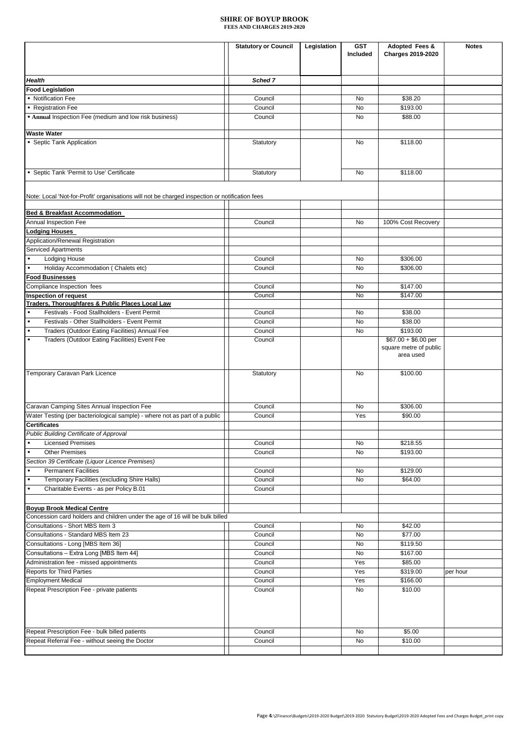|                                                                                                          | <b>Statutory or Council</b> | Legislation | <b>GST</b><br>Included | Adopted Fees &<br>Charges 2019-2020                         | <b>Notes</b> |
|----------------------------------------------------------------------------------------------------------|-----------------------------|-------------|------------------------|-------------------------------------------------------------|--------------|
|                                                                                                          |                             |             |                        |                                                             |              |
| Health<br><b>Food Legislation</b>                                                                        | Sched 7                     |             |                        |                                                             |              |
| • Notification Fee                                                                                       | Council                     |             | No                     | \$38.20                                                     |              |
| • Registration Fee                                                                                       | Council                     |             | No                     | \$193.00                                                    |              |
| <b>Annual Inspection Fee (medium and low risk business)</b>                                              | Council                     |             | No                     | \$88.00                                                     |              |
| <b>Waste Water</b>                                                                                       |                             |             |                        |                                                             |              |
| • Septic Tank Application                                                                                | Statutory                   |             | <b>No</b>              | \$118.00                                                    |              |
| • Septic Tank 'Permit to Use' Certificate                                                                | Statutory                   |             | No                     | \$118.00                                                    |              |
| Note: Local 'Not-for-Profit' organisations will not be charged inspection or notification fees           |                             |             |                        |                                                             |              |
| <b>Bed &amp; Breakfast Accommodation</b>                                                                 |                             |             |                        |                                                             |              |
| Annual Inspection Fee                                                                                    | Council                     |             | No                     | 100% Cost Recovery                                          |              |
| <b>Lodging Houses</b>                                                                                    |                             |             |                        |                                                             |              |
| Application/Renewal Registration                                                                         |                             |             |                        |                                                             |              |
| <b>Serviced Apartments</b>                                                                               |                             |             |                        |                                                             |              |
| <b>Lodging House</b>                                                                                     | Council                     |             | No                     | \$306.00                                                    |              |
| Holiday Accommodation (Chalets etc)<br>$\blacksquare$                                                    | Council                     |             | No                     | \$306.00                                                    |              |
| <b>Food Businesses</b>                                                                                   |                             |             |                        |                                                             |              |
| Compliance Inspection fees                                                                               | Council                     |             | No                     | \$147.00                                                    |              |
| Inspection of request                                                                                    | Council                     |             | No                     | \$147.00                                                    |              |
| Traders, Thoroughfares & Public Places Local Law                                                         |                             |             |                        |                                                             |              |
| Festivals - Food Stallholders - Event Permit<br>$\blacksquare$                                           | Council                     |             | No                     | \$38.00                                                     |              |
| $\blacksquare$<br>Festivals - Other Stallholders - Event Permit                                          | Council                     |             | No                     | \$38.00                                                     |              |
| Traders (Outdoor Eating Facilities) Annual Fee<br>$\blacksquare$                                         | Council                     |             | No                     | \$193.00                                                    |              |
| Traders (Outdoor Eating Facilities) Event Fee<br>$\blacksquare$                                          | Council                     |             |                        | $$67.00 + $6.00$ per<br>square metre of public<br>area used |              |
| Temporary Caravan Park Licence                                                                           | Statutory                   |             | No                     | \$100.00                                                    |              |
|                                                                                                          |                             |             |                        |                                                             |              |
| Caravan Camping Sites Annual Inspection Fee                                                              | Council                     |             | No                     | \$306.00                                                    |              |
| Water Testing (per bacteriological sample) - where not as part of a public<br><b>Certificates</b>        | Council                     |             | Yes                    | \$90.00                                                     |              |
| Public Building Certificate of Approval                                                                  |                             |             |                        |                                                             |              |
| <b>Licensed Premises</b><br>$\blacksquare$                                                               | Council                     |             | No                     | \$218.55                                                    |              |
| <b>Other Premises</b><br>$\blacksquare$                                                                  | Council                     |             | No                     | \$193.00                                                    |              |
| Section 39 Certificate (Liquor Licence Premises)                                                         |                             |             |                        |                                                             |              |
| <b>Permanent Facilities</b>                                                                              | Council                     |             | No                     | \$129.00                                                    |              |
| Temporary Facilities (excluding Shire Halls)<br>Charitable Events - as per Policy B.01<br>$\blacksquare$ | Council<br>Council          |             | No                     | \$64.00                                                     |              |
| <b>Boyup Brook Medical Centre</b>                                                                        |                             |             |                        |                                                             |              |
| Concession card holders and children under the age of 16 will be bulk billed                             |                             |             |                        |                                                             |              |
| Consultations - Short MBS Item 3                                                                         | Council                     |             | No                     | \$42.00                                                     |              |
| Consultations - Standard MBS Item 23                                                                     | Council                     |             | No                     | \$77.00                                                     |              |
| Consultations - Long [MBS Item 36]                                                                       | Council                     |             | No                     | \$119.50                                                    |              |
| Consultations - Extra Long [MBS Item 44]                                                                 | Council                     |             | No                     | \$167.00                                                    |              |
| Administration fee - missed appointments                                                                 | Council                     |             | Yes                    | \$85.00                                                     |              |
| <b>Reports for Third Parties</b>                                                                         | Council                     |             | Yes                    | \$319.00                                                    | per hour     |
| <b>Employment Medical</b>                                                                                | Council                     |             | Yes                    | \$166.00                                                    |              |
| Repeat Prescription Fee - private patients                                                               | Council                     |             | No                     | \$10.00                                                     |              |
| Repeat Prescription Fee - bulk billed patients                                                           | Council                     |             | No                     | \$5.00                                                      |              |
| Repeat Referral Fee - without seeing the Doctor                                                          | Council                     |             | No                     | \$10.00                                                     |              |
|                                                                                                          |                             |             |                        |                                                             |              |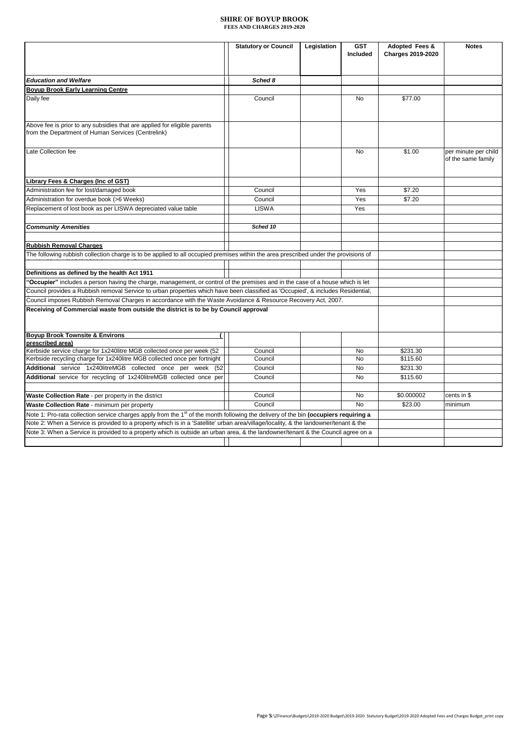|                                                                                                                                                  | <b>Statutory or Council</b> | Legislation | <b>GST</b><br>Included | Adopted Fees &<br><b>Charges 2019-2020</b> | <b>Notes</b>                               |
|--------------------------------------------------------------------------------------------------------------------------------------------------|-----------------------------|-------------|------------------------|--------------------------------------------|--------------------------------------------|
|                                                                                                                                                  |                             |             |                        |                                            |                                            |
| <b>Education and Welfare</b>                                                                                                                     | Sched 8                     |             |                        |                                            |                                            |
| <b>Boyup Brook Early Learning Centre</b>                                                                                                         |                             |             |                        |                                            |                                            |
| Daily fee                                                                                                                                        | Council                     |             | No                     | \$77.00                                    |                                            |
| Above fee is prior to any subsidies that are applied for eligible parents<br>from the Department of Human Services (Centrelink)                  |                             |             |                        |                                            |                                            |
| Late Collection fee                                                                                                                              |                             |             | No                     | \$1.00                                     | per minute per child<br>of the same family |
| Library Fees & Charges (Inc of GST)                                                                                                              |                             |             |                        |                                            |                                            |
| Administration fee for lost/damaged book                                                                                                         | Council                     |             | Yes                    | \$7.20                                     |                                            |
| Administration for overdue book (>6 Weeks)                                                                                                       | Council                     |             | Yes                    | \$7.20                                     |                                            |
| Replacement of lost book as per LISWA depreciated value table                                                                                    | <b>LISWA</b>                |             | Yes                    |                                            |                                            |
|                                                                                                                                                  |                             |             |                        |                                            |                                            |
| <b>Community Amenities</b>                                                                                                                       | Sched 10                    |             |                        |                                            |                                            |
|                                                                                                                                                  |                             |             |                        |                                            |                                            |
| <b>Rubbish Removal Charges</b>                                                                                                                   |                             |             |                        |                                            |                                            |
| The following rubbish collection charge is to be applied to all occupied premises within the area prescribed under the provisions of             |                             |             |                        |                                            |                                            |
|                                                                                                                                                  |                             |             |                        |                                            |                                            |
| Definitions as defined by the health Act 1911                                                                                                    |                             |             |                        |                                            |                                            |
| "Occupier" includes a person having the charge, management, or control of the premises and in the case of a house which is let                   |                             |             |                        |                                            |                                            |
| Council provides a Rubbish removal Service to urban properties which have been classified as 'Occupied', & includes Residential,                 |                             |             |                        |                                            |                                            |
| Council imposes Rubbish Removal Charges in accordance with the Waste Avoidance & Resource Recovery Act, 2007.                                    |                             |             |                        |                                            |                                            |
| Receiving of Commercial waste from outside the district is to be by Council approval                                                             |                             |             |                        |                                            |                                            |
|                                                                                                                                                  |                             |             |                        |                                            |                                            |
|                                                                                                                                                  |                             |             |                        |                                            |                                            |
| <b>Boyup Brook Townsite &amp; Environs</b>                                                                                                       |                             |             |                        |                                            |                                            |
| prescribed area)                                                                                                                                 |                             |             |                        |                                            |                                            |
| Kerbside service charge for 1x240 litre MGB collected once per week (52                                                                          | Council                     |             | No                     | \$231.30                                   |                                            |
| Kerbside recycling charge for 1x240litre MGB collected once per fortnight                                                                        | Council                     |             | No                     | \$115.60                                   |                                            |
| Additional service 1x240litreMGB collected once per week (52)                                                                                    | Council                     |             | No                     | \$231.30                                   |                                            |
| Additional service for recycling of 1x240litreMGB collected once per                                                                             | Council                     |             | No                     | \$115.60                                   |                                            |
|                                                                                                                                                  |                             |             |                        |                                            |                                            |
| Waste Collection Rate - per property in the district                                                                                             | Council                     |             | No                     | \$0.000002                                 | cents in \$                                |
| Waste Collection Rate - minimum per property                                                                                                     | Council                     |             | No                     | \$23.00                                    | minimum                                    |
| Note 1: Pro-rata collection service charges apply from the 1 <sup>st</sup> of the month following the delivery of the bin (occupiers requiring a |                             |             |                        |                                            |                                            |
| Note 2: When a Service is provided to a property which is in a 'Satellite' urban area/village/locality, & the landowner/tenant & the             |                             |             |                        |                                            |                                            |
| Note 3: When a Service is provided to a property which is outside an urban area, & the landowner/tenant & the Council agree on a                 |                             |             |                        |                                            |                                            |
|                                                                                                                                                  |                             |             |                        |                                            |                                            |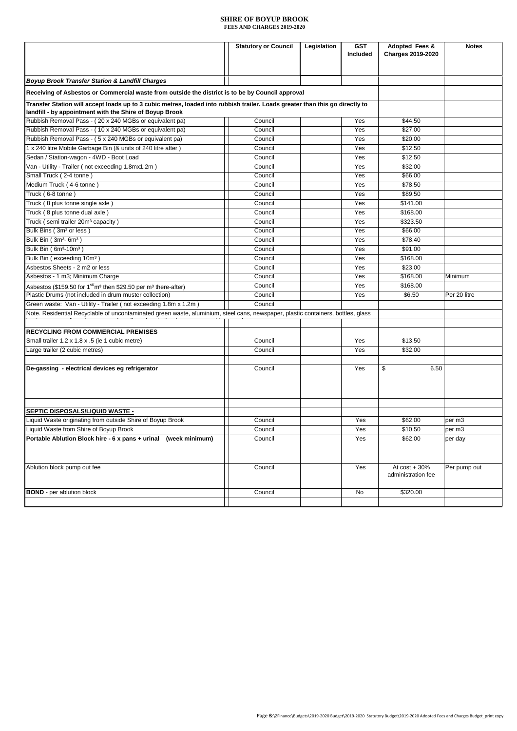|                                                                                                                                  | <b>Statutory or Council</b> | Legislation | <b>GST</b> | <b>Adopted Fees &amp;</b>             | <b>Notes</b> |
|----------------------------------------------------------------------------------------------------------------------------------|-----------------------------|-------------|------------|---------------------------------------|--------------|
|                                                                                                                                  |                             |             | Included   | <b>Charges 2019-2020</b>              |              |
|                                                                                                                                  |                             |             |            |                                       |              |
| <b>Boyup Brook Transfer Station &amp; Landfill Charges</b>                                                                       |                             |             |            |                                       |              |
| Receiving of Asbestos or Commercial waste from outside the district is to be by Council approval                                 |                             |             |            |                                       |              |
| Transfer Station will accept loads up to 3 cubic metres, loaded into rubbish trailer. Loads greater than this go directly to     |                             |             |            |                                       |              |
| landfill - by appointment with the Shire of Boyup Brook                                                                          |                             |             |            |                                       |              |
| Rubbish Removal Pass - (20 x 240 MGBs or equivalent pa)                                                                          | Council                     |             | Yes        | \$44.50                               |              |
| Rubbish Removal Pass - (10 x 240 MGBs or equivalent pa)                                                                          | Council                     |             | Yes        | \$27.00                               |              |
| Rubbish Removal Pass - (5 x 240 MGBs or equivalent pa)                                                                           | Council                     |             | Yes        | \$20.00                               |              |
| 1 x 240 litre Mobile Garbage Bin (& units of 240 litre after)                                                                    | Council                     |             | Yes        | \$12.50                               |              |
| Sedan / Station-wagon - 4WD - Boot Load                                                                                          | Council                     |             | Yes        | \$12.50                               |              |
| Van - Utility - Trailer (not exceeding 1.8mx1.2m)                                                                                | Council                     |             | Yes        | \$32.00                               |              |
| Small Truck (2-4 tonne)                                                                                                          | Council                     |             | Yes        | \$66.00                               |              |
| Medium Truck (4-6 tonne)                                                                                                         | Council                     |             | Yes        | \$78.50                               |              |
| Truck (6-8 tonne)                                                                                                                | Council                     |             | Yes        | \$89.50                               |              |
| Truck (8 plus tonne single axle)                                                                                                 | Council                     |             | Yes        | \$141.00                              |              |
| Truck (8 plus tonne dual axle)                                                                                                   | Council                     |             | Yes        | \$168.00                              |              |
| Truck (semi trailer 20m <sup>3</sup> capacity)                                                                                   | Council                     |             | Yes        | \$323.50                              |              |
| Bulk Bins (3m <sup>3</sup> or less)                                                                                              | Council                     |             | Yes        | \$66.00                               |              |
| Bulk Bin (3m <sup>3</sup> -6m <sup>3</sup> )                                                                                     | Council                     |             | Yes        | \$78.40                               |              |
| Bulk Bin (6m <sup>3</sup> -10m <sup>3</sup> )                                                                                    | Council                     |             | Yes        | \$91.00                               |              |
| Bulk Bin (exceeding 10m <sup>3</sup> )                                                                                           | Council                     |             | Yes        | \$168.00                              |              |
| Asbestos Sheets - 2 m2 or less                                                                                                   | Council                     |             | Yes        | \$23.00                               |              |
| Asbestos - 1 m3; Minimum Charge                                                                                                  | Council                     |             | Yes        | \$168.00                              | Minimum      |
| Asbestos (\$159.50 for 1 <sup>st/</sup> m <sup>3</sup> then \$29.50 per m <sup>3</sup> there-after)                              | Council                     |             | Yes        | \$168.00                              |              |
| Plastic Drums (not included in drum muster collection)                                                                           | Council                     |             | Yes        | \$6.50                                | Per 20 litre |
| Green waste: Van - Utility - Trailer (not exceeding 1.8m x 1.2m)                                                                 | Council                     |             |            |                                       |              |
| Note. Residential Recyclable of uncontaminated green waste, aluminium, steel cans, newspaper, plastic containers, bottles, glass |                             |             |            |                                       |              |
|                                                                                                                                  |                             |             |            |                                       |              |
| <b>RECYCLING FROM COMMERCIAL PREMISES</b>                                                                                        |                             |             |            |                                       |              |
| Small trailer 1.2 x 1.8 x .5 (ie 1 cubic metre)                                                                                  | Council                     |             | Yes        | \$13.50                               |              |
| Large trailer (2 cubic metres)                                                                                                   | Council                     |             | Yes        | \$32.00                               |              |
|                                                                                                                                  |                             |             |            |                                       |              |
| De-gassing - electrical devices eg refrigerator                                                                                  | Council                     |             | Yes        | \$<br>6.50                            |              |
|                                                                                                                                  |                             |             |            |                                       |              |
|                                                                                                                                  |                             |             |            |                                       |              |
|                                                                                                                                  |                             |             |            |                                       |              |
| SEPTIC DISPOSALS/LIQUID WASTE -                                                                                                  |                             |             |            |                                       |              |
| Liquid Waste originating from outside Shire of Boyup Brook                                                                       | Council                     |             | Yes        | \$62.00                               | per m3       |
| Liquid Waste from Shire of Boyup Brook                                                                                           | Council                     |             | Yes        | \$10.50                               | per m3       |
| Portable Ablution Block hire - 6 x pans + urinal (week minimum)                                                                  | Council                     |             | Yes        | \$62.00                               | per day      |
|                                                                                                                                  |                             |             |            |                                       |              |
|                                                                                                                                  |                             |             |            |                                       |              |
|                                                                                                                                  |                             |             |            |                                       |              |
| Ablution block pump out fee                                                                                                      | Council                     |             | Yes        | At $cost + 30%$<br>administration fee | Per pump out |
|                                                                                                                                  |                             |             |            |                                       |              |
| <b>BOND</b> - per ablution block                                                                                                 | Council                     |             | No         | \$320.00                              |              |
|                                                                                                                                  |                             |             |            |                                       |              |
|                                                                                                                                  |                             |             |            |                                       |              |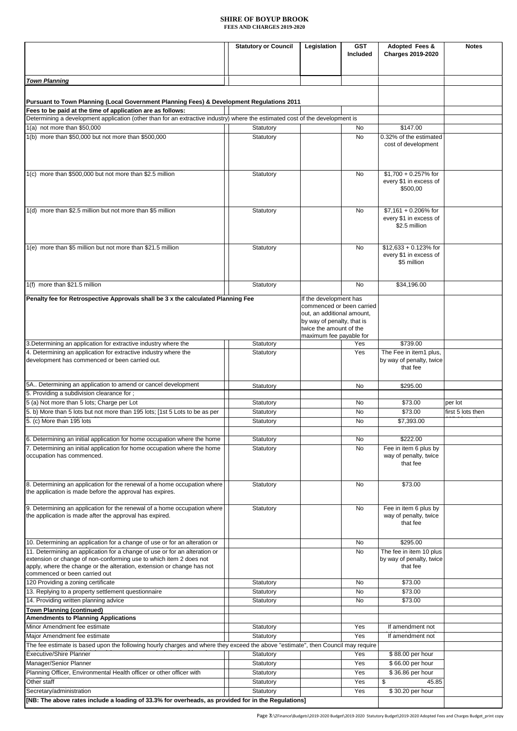|                                                                                                                                      | <b>Statutory or Council</b> | Legislation                                              | <b>GST</b>      | Adopted Fees &                                   | <b>Notes</b>      |
|--------------------------------------------------------------------------------------------------------------------------------------|-----------------------------|----------------------------------------------------------|-----------------|--------------------------------------------------|-------------------|
|                                                                                                                                      |                             |                                                          | <b>Included</b> | <b>Charges 2019-2020</b>                         |                   |
|                                                                                                                                      |                             |                                                          |                 |                                                  |                   |
| <b>Town Planning</b>                                                                                                                 |                             |                                                          |                 |                                                  |                   |
|                                                                                                                                      |                             |                                                          |                 |                                                  |                   |
| Pursuant to Town Planning (Local Government Planning Fees) & Development Regulations 2011                                            |                             |                                                          |                 |                                                  |                   |
| Fees to be paid at the time of application are as follows:                                                                           |                             |                                                          |                 |                                                  |                   |
| Determining a development application (other than for an extractive industry) where the estimated cost of the development is         |                             |                                                          |                 |                                                  |                   |
| 1(a) not more than \$50,000                                                                                                          | Statutory                   |                                                          | No              | \$147.00                                         |                   |
| 1(b) more than \$50,000 but not more than \$500,000                                                                                  | Statutory                   |                                                          | No              | 0.32% of the estimated<br>cost of development    |                   |
|                                                                                                                                      |                             |                                                          |                 |                                                  |                   |
|                                                                                                                                      |                             |                                                          |                 |                                                  |                   |
| 1(c) more than \$500,000 but not more than \$2.5 million                                                                             | Statutory                   |                                                          | No              | $$1,700 + 0.257\%$ for                           |                   |
|                                                                                                                                      |                             |                                                          |                 | every \$1 in excess of                           |                   |
|                                                                                                                                      |                             |                                                          |                 | \$500,00                                         |                   |
|                                                                                                                                      |                             |                                                          |                 |                                                  |                   |
| 1(d) more than \$2.5 million but not more than \$5 million                                                                           | Statutory                   |                                                          | No              | $$7.161 + 0.206\%$ for<br>every \$1 in excess of |                   |
|                                                                                                                                      |                             |                                                          |                 | \$2.5 million                                    |                   |
|                                                                                                                                      |                             |                                                          |                 |                                                  |                   |
| 1(e) more than \$5 million but not more than \$21.5 million                                                                          | Statutory                   |                                                          | No              | $$12,633 + 0.123\%$ for                          |                   |
|                                                                                                                                      |                             |                                                          |                 | every \$1 in excess of                           |                   |
|                                                                                                                                      |                             |                                                          |                 | \$5 million                                      |                   |
|                                                                                                                                      |                             |                                                          |                 |                                                  |                   |
| 1(f) more than \$21.5 million                                                                                                        | Statutory                   |                                                          | No              | \$34,196.00                                      |                   |
| Penalty fee for Retrospective Approvals shall be 3 x the calculated Planning Fee                                                     |                             | If the development has                                   |                 |                                                  |                   |
|                                                                                                                                      |                             | commenced or been carried                                |                 |                                                  |                   |
|                                                                                                                                      |                             | out, an additional amount,<br>by way of penalty, that is |                 |                                                  |                   |
|                                                                                                                                      |                             | twice the amount of the                                  |                 |                                                  |                   |
| 3. Determining an application for extractive industry where the                                                                      | Statutory                   | maximum fee payable for                                  | Yes             | \$739.00                                         |                   |
| 4. Determining an application for extractive industry where the                                                                      | Statutory                   |                                                          | Yes             | The Fee in item1 plus,                           |                   |
| development has commenced or been carried out.                                                                                       |                             |                                                          |                 | by way of penalty, twice                         |                   |
|                                                                                                                                      |                             |                                                          |                 | that fee                                         |                   |
| 5A Determining an application to amend or cancel development                                                                         |                             |                                                          | No              | \$295.00                                         |                   |
| 5. Providing a subdivision clearance for;                                                                                            | Statutory                   |                                                          |                 |                                                  |                   |
| 5 (a) Not more than 5 lots; Charge per Lot                                                                                           | Statutory                   |                                                          | No              | \$73.00                                          | per lot           |
| 5. b) More than 5 lots but not more than 195 lots; [1st 5 Lots to be as per                                                          | Statutory                   |                                                          | No              | \$73.00                                          | first 5 lots then |
| 5. (c) More than 195 lots                                                                                                            | Statutory                   |                                                          | No              | \$7,393.00                                       |                   |
| 6. Determining an initial application for home occupation where the home                                                             | Statutory                   |                                                          | No              | \$222.00                                         |                   |
| 7. Determining an initial application for home occupation where the home                                                             | Statutory                   |                                                          | No              | Fee in item 6 plus by                            |                   |
| occupation has commenced.                                                                                                            |                             |                                                          |                 | way of penalty, twice                            |                   |
|                                                                                                                                      |                             |                                                          |                 | that fee                                         |                   |
|                                                                                                                                      |                             |                                                          |                 |                                                  |                   |
| 8. Determining an application for the renewal of a home occupation where<br>the application is made before the approval has expires. | Statutory                   |                                                          | No              | \$73.00                                          |                   |
|                                                                                                                                      |                             |                                                          |                 |                                                  |                   |
| 9. Determining an application for the renewal of a home occupation where                                                             | Statutory                   |                                                          | No              | Fee in item 6 plus by                            |                   |
| the application is made after the approval has expired.                                                                              |                             |                                                          |                 | way of penalty, twice<br>that fee                |                   |
|                                                                                                                                      |                             |                                                          |                 |                                                  |                   |
| 10. Determining an application for a change of use or for an alteration or                                                           |                             |                                                          | No              | \$295.00                                         |                   |
| 11. Determining an application for a change of use or for an alteration or                                                           |                             |                                                          | No              | The fee in item 10 plus                          |                   |
| extension or change of non-conforming use to which item 2 does not                                                                   |                             |                                                          |                 | by way of penalty, twice                         |                   |
| apply, where the change or the alteration, extension or change has not<br>commenced or been carried out                              |                             |                                                          |                 | that fee                                         |                   |
| 120 Providing a zoning certificate                                                                                                   | Statutory                   |                                                          | No              | \$73.00                                          |                   |
| 13. Replying to a property settlement questionnaire                                                                                  | Statutory                   |                                                          | No              | \$73.00                                          |                   |
| 14. Providing written planning advice                                                                                                | Statutory                   |                                                          | No              | \$73.00                                          |                   |
| <b>Town Planning (continued)</b><br><b>Amendments to Planning Applications</b>                                                       |                             |                                                          |                 |                                                  |                   |
| Minor Amendment fee estimate                                                                                                         | Statutory                   |                                                          | Yes             | If amendment not                                 |                   |
| Major Amendment fee estimate                                                                                                         | Statutory                   |                                                          | Yes             | If amendment not                                 |                   |
| The fee estimate is based upon the following hourly charges and where they exceed the above "estimate", then Council may require     |                             |                                                          |                 |                                                  |                   |
| <b>Executive/Shire Planner</b>                                                                                                       | Statutory                   |                                                          | Yes             | \$88.00 per hour                                 |                   |
| Manager/Senior Planner                                                                                                               | Statutory                   |                                                          | Yes             | \$66.00 per hour                                 |                   |
| Planning Officer, Environmental Health officer or other officer with                                                                 | Statutory                   |                                                          | Yes             | \$36.86 per hour                                 |                   |
| Other staff                                                                                                                          | Statutory                   |                                                          | Yes<br>Yes      | \$<br>45.85<br>\$30.20 per hour                  |                   |
| Secretary/administration<br>[NB: The above rates include a loading of 33.3% for overheads, as provided for in the Regulations]       | Statutory                   |                                                          |                 |                                                  |                   |
|                                                                                                                                      |                             |                                                          |                 |                                                  |                   |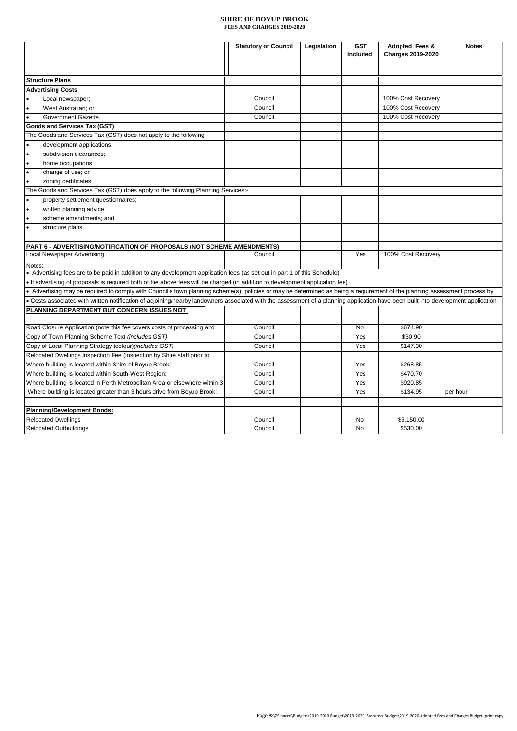|                                                                                                                                                                                   | <b>Statutory or Council</b> | Legislation | <b>GST</b><br>Included | Adopted Fees &<br><b>Charges 2019-2020</b> | <b>Notes</b> |
|-----------------------------------------------------------------------------------------------------------------------------------------------------------------------------------|-----------------------------|-------------|------------------------|--------------------------------------------|--------------|
|                                                                                                                                                                                   |                             |             |                        |                                            |              |
| <b>Structure Plans</b>                                                                                                                                                            |                             |             |                        |                                            |              |
| <b>Advertising Costs</b>                                                                                                                                                          |                             |             |                        |                                            |              |
| Local newspaper;                                                                                                                                                                  | Council                     |             |                        | 100% Cost Recovery                         |              |
| West Australian; or                                                                                                                                                               | Council                     |             |                        | 100% Cost Recovery                         |              |
| Government Gazette.                                                                                                                                                               | Council                     |             |                        | 100% Cost Recovery                         |              |
| Goods and Services Tax (GST)                                                                                                                                                      |                             |             |                        |                                            |              |
| The Goods and Services Tax (GST) does not apply to the following                                                                                                                  |                             |             |                        |                                            |              |
| development applications;                                                                                                                                                         |                             |             |                        |                                            |              |
| subdivision clearances;                                                                                                                                                           |                             |             |                        |                                            |              |
| home occupations;                                                                                                                                                                 |                             |             |                        |                                            |              |
| change of use; or                                                                                                                                                                 |                             |             |                        |                                            |              |
| zoning certificates.                                                                                                                                                              |                             |             |                        |                                            |              |
| The Goods and Services Tax (GST) does apply to the following Planning Services:-                                                                                                  |                             |             |                        |                                            |              |
| property settlement questionnaires;                                                                                                                                               |                             |             |                        |                                            |              |
| written planning advice,                                                                                                                                                          |                             |             |                        |                                            |              |
| scheme amendments; and                                                                                                                                                            |                             |             |                        |                                            |              |
| structure plans.                                                                                                                                                                  |                             |             |                        |                                            |              |
|                                                                                                                                                                                   |                             |             |                        |                                            |              |
| <b>PART 6 - ADVERTISING/NOTIFICATION OF PROPOSALS (NOT SCHEME AMENDMENTS)</b>                                                                                                     |                             |             |                        |                                            |              |
| Local Newspaper Advertising                                                                                                                                                       | Council                     |             | Yes                    | 100% Cost Recovery                         |              |
| Notes:                                                                                                                                                                            |                             |             |                        |                                            |              |
| • Advertising fees are to be paid in addition to any development application fees (as set out in part 1 of this Schedule)                                                         |                             |             |                        |                                            |              |
| • If advertising of proposals is required both of the above fees will be charged (in addition to development application fee)                                                     |                             |             |                        |                                            |              |
| • Advertising may be required to comply with Council's town planning scheme(s), policies or may be determined as being a requirement of the planning assessment process by        |                             |             |                        |                                            |              |
| . Costs associated with written notification of adjoining/nearby landowners associated with the assessment of a planning application have been built into development application |                             |             |                        |                                            |              |
| PLANNING DEPARTMENT BUT CONCERN ISSUES NOT                                                                                                                                        |                             |             |                        |                                            |              |
| Road Closure Application (note this fee covers costs of processing and                                                                                                            | Council                     |             | No                     | \$674.90                                   |              |
| Copy of Town Planning Scheme Text (includes GST)                                                                                                                                  | Council                     |             | Yes                    | \$30.90                                    |              |
| Copy of Local Planning Strategy (colour) (includes GST)                                                                                                                           | Council                     |             | Yes                    | \$147.30                                   |              |
| Relocated Dwellings Inspection Fee (inspection by Shire staff prior to                                                                                                            |                             |             |                        |                                            |              |
| Where building is located within Shire of Boyup Brook:                                                                                                                            | Council                     |             | Yes                    | \$268.85                                   |              |
| Where building is located within South-West Region:                                                                                                                               | Council                     |             | Yes                    | \$470.70                                   |              |
| Where building is located in Perth Metropolitan Area or elsewhere within 3                                                                                                        | Council                     |             | Yes                    | \$920.85                                   |              |
| Where building is located greater than 3 hours drive from Boyup Brook:                                                                                                            | Council                     |             | Yes                    | \$134.95                                   | per hour     |
|                                                                                                                                                                                   |                             |             |                        |                                            |              |
| <b>Planning/Development Bonds:</b>                                                                                                                                                |                             |             |                        |                                            |              |
| <b>Relocated Dwellings</b>                                                                                                                                                        | Council                     |             | No                     | \$5,150.00                                 |              |
| <b>Relocated Outbuildings</b>                                                                                                                                                     | Council                     |             | No                     | \$530.00                                   |              |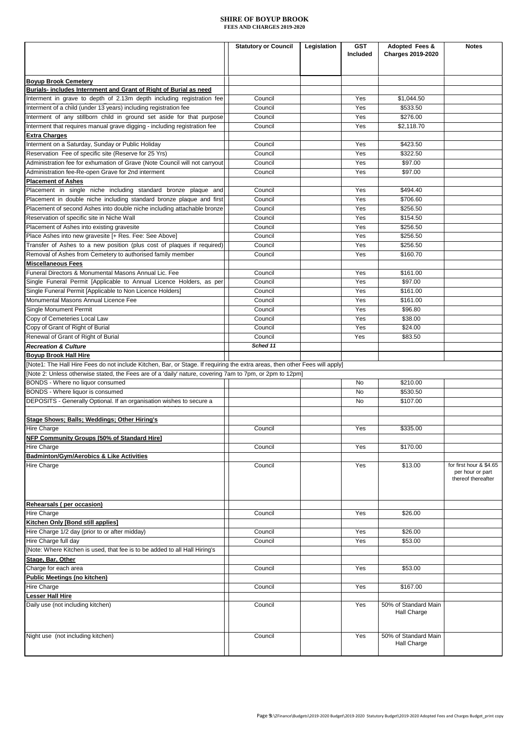|                                                                                                                             | <b>Statutory or Council</b> | Legislation | <b>GST</b><br>Included | Adopted Fees &<br><b>Charges 2019-2020</b> | <b>Notes</b>                                                      |
|-----------------------------------------------------------------------------------------------------------------------------|-----------------------------|-------------|------------------------|--------------------------------------------|-------------------------------------------------------------------|
|                                                                                                                             |                             |             |                        |                                            |                                                                   |
| <b>Boyup Brook Cemetery</b><br>Burials- includes Internment and Grant of Right of Burial as need                            |                             |             |                        |                                            |                                                                   |
| Interment in grave to depth of 2.13m depth including registration fee                                                       | Council                     |             | Yes                    | \$1,044.50                                 |                                                                   |
| Interment of a child (under 13 years) including registration fee                                                            | Council                     |             | Yes                    | \$533.50                                   |                                                                   |
| Interment of any stillborn child in ground set aside for that purpose                                                       | Council                     |             | Yes                    | \$276.00                                   |                                                                   |
| Interment that requires manual grave digging - including registration fee                                                   | Council                     |             | Yes                    | \$2,118.70                                 |                                                                   |
| <b>Extra Charges</b>                                                                                                        |                             |             |                        |                                            |                                                                   |
| Interment on a Saturday, Sunday or Public Holiday                                                                           | Council                     |             | Yes                    | \$423.50                                   |                                                                   |
| Reservation Fee of specific site (Reserve for 25 Yrs)                                                                       | Council                     |             | Yes                    | \$322.50                                   |                                                                   |
| Administration fee for exhumation of Grave (Note Council will not carryout                                                  | Council                     |             | Yes                    | \$97.00                                    |                                                                   |
| Administration fee-Re-open Grave for 2nd interment                                                                          | Council                     |             | Yes                    | \$97.00                                    |                                                                   |
| <b>Placement of Ashes</b>                                                                                                   |                             |             |                        |                                            |                                                                   |
| Placement in single niche including standard bronze plaque and                                                              | Council                     |             | Yes                    | \$494.40                                   |                                                                   |
| Placement in double niche including standard bronze plaque and first                                                        | Council                     |             | Yes                    | \$706.60                                   |                                                                   |
| Placement of second Ashes into double niche including attachable bronze                                                     | Council                     |             | Yes                    | \$256.50                                   |                                                                   |
| Reservation of specific site in Niche Wall                                                                                  | Council                     |             | Yes                    | \$154.50                                   |                                                                   |
| Placement of Ashes into existing gravesite                                                                                  | Council                     |             | Yes                    | \$256.50                                   |                                                                   |
| Place Ashes into new gravesite [+ Res. Fee: See Above]                                                                      | Council                     |             | Yes                    | \$256.50                                   |                                                                   |
| Transfer of Ashes to a new position (plus cost of plaques if required)                                                      | Council                     |             | Yes                    | \$256.50                                   |                                                                   |
| Removal of Ashes from Cemetery to authorised family member                                                                  | Council                     |             | Yes                    | \$160.70                                   |                                                                   |
| <b>Miscellaneous Fees</b>                                                                                                   |                             |             |                        |                                            |                                                                   |
| Funeral Directors & Monumental Masons Annual Lic. Fee                                                                       | Council                     |             | Yes                    | \$161.00                                   |                                                                   |
| Single Funeral Permit [Applicable to Annual Licence Holders, as per                                                         | Council                     |             | Yes                    | \$97.00                                    |                                                                   |
| Single Funeral Permit [Applicable to Non Licence Holders]                                                                   | Council                     |             | Yes                    | \$161.00                                   |                                                                   |
| Monumental Masons Annual Licence Fee                                                                                        | Council                     |             | Yes                    | \$161.00                                   |                                                                   |
| Single Monument Permit                                                                                                      | Council                     |             | Yes                    | \$96.80                                    |                                                                   |
| Copy of Cemeteries Local Law                                                                                                | Council                     |             | Yes                    | \$38.00                                    |                                                                   |
| Copy of Grant of Right of Burial                                                                                            | Council                     |             | Yes                    | \$24.00                                    |                                                                   |
| Renewal of Grant of Right of Burial                                                                                         | Council                     |             | Yes                    | \$83.50                                    |                                                                   |
| <b>Recreation &amp; Culture</b>                                                                                             | Sched 11                    |             |                        |                                            |                                                                   |
| <b>Boyup Brook Hall Hire</b>                                                                                                |                             |             |                        |                                            |                                                                   |
| [Note1: The Hall Hire Fees do not include Kitchen, Bar, or Stage. If requiring the extra areas, then other Fees will apply] |                             |             |                        |                                            |                                                                   |
| [Note 2: Unless otherwise stated, the Fees are of a 'daily' nature, covering 7am to 7pm, or 2pm to 12pm]                    |                             |             |                        |                                            |                                                                   |
| BONDS - Where no liquor consumed                                                                                            |                             |             | No                     | \$210.00                                   |                                                                   |
| BONDS - Where liquor is consumed                                                                                            |                             |             | No                     | \$530.50                                   |                                                                   |
| DEPOSITS - Generally Optional. If an organisation wishes to secure a                                                        |                             |             | No                     | \$107.00                                   |                                                                   |
|                                                                                                                             |                             |             |                        |                                            |                                                                   |
| Stage Shows; Balls; Weddings; Other Hiring's                                                                                |                             |             |                        |                                            |                                                                   |
| <b>Hire Charge</b>                                                                                                          | Council                     |             | Yes                    | \$335.00                                   |                                                                   |
| NFP Community Groups [50% of Standard Hire]                                                                                 |                             |             |                        |                                            |                                                                   |
| <b>Hire Charge</b>                                                                                                          | Council                     |             | Yes                    | \$170.00                                   |                                                                   |
| <b>Badminton/Gym/Aerobics &amp; Like Activities</b>                                                                         |                             |             |                        |                                            |                                                                   |
| Hire Charge                                                                                                                 | Council                     |             | Yes                    | \$13.00                                    | for first hour & \$4.65<br>per hour or part<br>thereof thereafter |
| Rehearsals (per occasion)                                                                                                   |                             |             |                        |                                            |                                                                   |
| <b>Hire Charge</b>                                                                                                          | Council                     |             | Yes                    | \$26.00                                    |                                                                   |
| Kitchen Only [Bond still applies]                                                                                           |                             |             |                        |                                            |                                                                   |
| Hire Charge 1/2 day (prior to or after midday)                                                                              | Council                     |             | Yes                    | \$26.00                                    |                                                                   |
| Hire Charge full day                                                                                                        | Council                     |             | Yes                    | \$53.00                                    |                                                                   |
| [Note: Where Kitchen is used, that fee is to be added to all Hall Hiring's                                                  |                             |             |                        |                                            |                                                                   |
| Stage, Bar, Other                                                                                                           |                             |             |                        |                                            |                                                                   |
| Charge for each area                                                                                                        | Council                     |             | Yes                    | \$53.00                                    |                                                                   |
| <b>Public Meetings (no kitchen)</b>                                                                                         |                             |             |                        |                                            |                                                                   |
| Hire Charge                                                                                                                 | Council                     |             | Yes                    | \$167.00                                   |                                                                   |
| esser Hall Hire                                                                                                             |                             |             |                        |                                            |                                                                   |
| Daily use (not including kitchen)                                                                                           | Council                     |             | Yes                    | 50% of Standard Main<br>Hall Charge        |                                                                   |
| Night use (not including kitchen)                                                                                           | Council                     |             | Yes                    | 50% of Standard Main<br>Hall Charge        |                                                                   |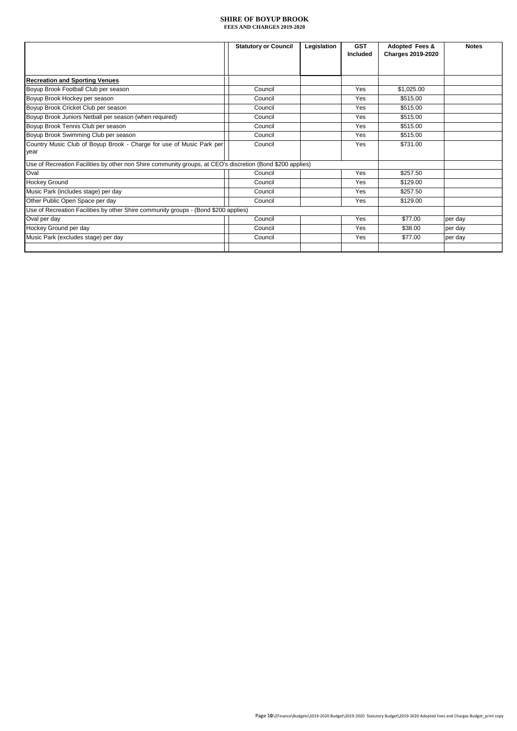|                                                                                                            | <b>Statutory or Council</b> | Legislation | <b>GST</b><br>Included | Adopted Fees &<br><b>Charges 2019-2020</b> | <b>Notes</b> |
|------------------------------------------------------------------------------------------------------------|-----------------------------|-------------|------------------------|--------------------------------------------|--------------|
|                                                                                                            |                             |             |                        |                                            |              |
|                                                                                                            |                             |             |                        |                                            |              |
| <b>Recreation and Sporting Venues</b>                                                                      |                             |             |                        |                                            |              |
| Boyup Brook Football Club per season                                                                       | Council                     |             | Yes                    | \$1,025.00                                 |              |
| Boyup Brook Hockey per season                                                                              | Council                     |             | Yes                    | \$515.00                                   |              |
| Boyup Brook Cricket Club per season                                                                        | Council                     |             | Yes                    | \$515.00                                   |              |
| Boyup Brook Juniors Netball per season (when required)                                                     | Council                     |             | Yes                    | \$515.00                                   |              |
| Boyup Brook Tennis Club per season                                                                         | Council                     |             | Yes                    | \$515.00                                   |              |
| Boyup Brook Swimming Club per season                                                                       | Council                     |             | Yes                    | \$515.00                                   |              |
| Country Music Club of Boyup Brook - Charge for use of Music Park per                                       | Council                     |             | Yes                    | \$731.00                                   |              |
| year                                                                                                       |                             |             |                        |                                            |              |
| Use of Recreation Facilities by other non Shire community groups, at CEO's discretion (Bond \$200 applies) |                             |             |                        |                                            |              |
| Oval                                                                                                       | Council                     |             | Yes                    | \$257.50                                   |              |
| <b>Hockey Ground</b>                                                                                       | Council                     |             | Yes                    | \$129.00                                   |              |
| Music Park (includes stage) per day                                                                        | Council                     |             | Yes                    | \$257.50                                   |              |
| Other Public Open Space per day                                                                            | Council                     |             | Yes                    | \$129.00                                   |              |
| Use of Recreation Facilities by other Shire community groups - (Bond \$200 applies)                        |                             |             |                        |                                            |              |
| Oval per day                                                                                               | Council                     |             | Yes                    | \$77.00                                    | per day      |
| Hockey Ground per day                                                                                      | Council                     |             | Yes                    | \$38.00                                    | per day      |
| Music Park (excludes stage) per day                                                                        | Council                     |             | Yes                    | \$77.00                                    | per day      |
|                                                                                                            |                             |             |                        |                                            |              |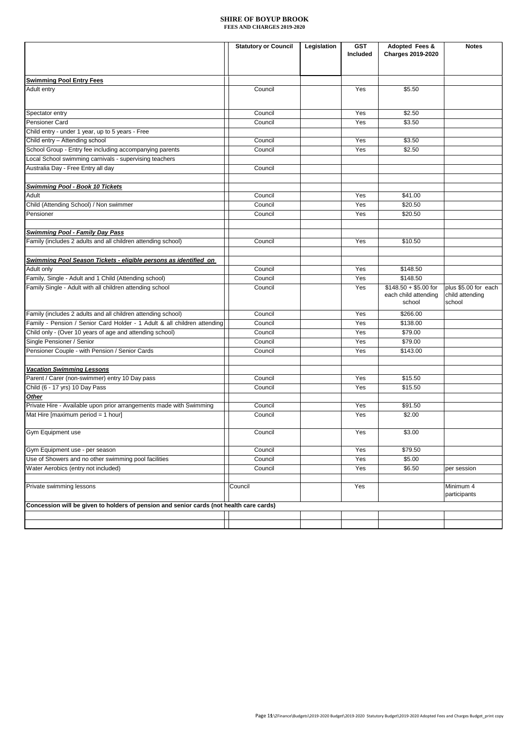|                                                                                         | <b>Statutory or Council</b> | Legislation | <b>GST</b><br>Included | Adopted Fees &<br>Charges 2019-2020                     | <b>Notes</b>                                      |
|-----------------------------------------------------------------------------------------|-----------------------------|-------------|------------------------|---------------------------------------------------------|---------------------------------------------------|
|                                                                                         |                             |             |                        |                                                         |                                                   |
|                                                                                         |                             |             |                        |                                                         |                                                   |
| <b>Swimming Pool Entry Fees</b>                                                         |                             |             |                        |                                                         |                                                   |
| Adult entry                                                                             | Council                     |             | Yes                    | \$5.50                                                  |                                                   |
|                                                                                         |                             |             |                        |                                                         |                                                   |
| Spectator entry                                                                         | Council                     |             | Yes                    | \$2.50                                                  |                                                   |
| Pensioner Card                                                                          | Council                     |             | Yes                    | \$3.50                                                  |                                                   |
| Child entry - under 1 year, up to 5 years - Free                                        |                             |             |                        |                                                         |                                                   |
| Child entry - Attending school                                                          | Council                     |             | Yes                    | \$3.50                                                  |                                                   |
| School Group - Entry fee including accompanying parents                                 | Council                     |             | Yes                    | \$2.50                                                  |                                                   |
| Local School swimming carnivals - supervising teachers                                  |                             |             |                        |                                                         |                                                   |
| Australia Day - Free Entry all day                                                      | Council                     |             |                        |                                                         |                                                   |
| <b>Swimming Pool - Book 10 Tickets</b>                                                  |                             |             |                        |                                                         |                                                   |
| Adult                                                                                   | Council                     |             | Yes                    | \$41.00                                                 |                                                   |
|                                                                                         |                             |             |                        |                                                         |                                                   |
| Child (Attending School) / Non swimmer                                                  | Council                     |             | Yes                    | \$20.50                                                 |                                                   |
| Pensioner                                                                               | Council                     |             | Yes                    | \$20.50                                                 |                                                   |
| <b>Swimming Pool - Family Day Pass</b>                                                  |                             |             |                        |                                                         |                                                   |
| Family (includes 2 adults and all children attending school)                            | Council                     |             | Yes                    | \$10.50                                                 |                                                   |
|                                                                                         |                             |             |                        |                                                         |                                                   |
| Swimming Pool Season Tickets - eligible persons as identified on                        |                             |             |                        |                                                         |                                                   |
| Adult only                                                                              | Council                     |             | Yes                    | \$148.50                                                |                                                   |
| Family, Single - Adult and 1 Child (Attending school)                                   | Council                     |             | Yes                    | \$148.50                                                |                                                   |
| Family Single - Adult with all children attending school                                | Council                     |             | Yes                    | $$148.50 + $5.00$ for<br>each child attending<br>school | plus \$5.00 for each<br>child attending<br>school |
| Family (includes 2 adults and all children attending school)                            | Council                     |             | Yes                    | \$266.00                                                |                                                   |
| Family - Pension / Senior Card Holder - 1 Adult & all children attending                | Council                     |             | Yes                    | \$138.00                                                |                                                   |
| Child only - (Over 10 years of age and attending school)                                | Council                     |             | Yes                    | \$79.00                                                 |                                                   |
| Single Pensioner / Senior                                                               | Council                     |             | Yes                    | \$79.00                                                 |                                                   |
| Pensioner Couple - with Pension / Senior Cards                                          | Council                     |             | Yes                    | \$143.00                                                |                                                   |
|                                                                                         |                             |             |                        |                                                         |                                                   |
| <b>Vacation Swimming Lessons</b>                                                        |                             |             |                        |                                                         |                                                   |
| Parent / Carer (non-swimmer) entry 10 Day pass                                          | Council                     |             | Yes                    | \$15.50                                                 |                                                   |
| Child (6 - 17 yrs) 10 Day Pass                                                          | Council                     |             | Yes                    | \$15.50                                                 |                                                   |
| Other                                                                                   |                             |             |                        |                                                         |                                                   |
| Private Hire - Available upon prior arrangements made with Swimming                     | Council                     |             | Yes                    | \$91.50                                                 |                                                   |
| Mat Hire [maximum period = 1 hour]                                                      | Council                     |             | Yes                    | \$2.00                                                  |                                                   |
|                                                                                         |                             |             |                        |                                                         |                                                   |
| Gym Equipment use                                                                       | Council                     |             | Yes                    | \$3.00                                                  |                                                   |
| Gym Equipment use - per season                                                          | Council                     |             | Yes                    | \$79.50                                                 |                                                   |
| Use of Showers and no other swimming pool facilities                                    | Council                     |             | Yes                    | \$5.00                                                  |                                                   |
| Water Aerobics (entry not included)                                                     | Council                     |             | Yes                    | \$6.50                                                  | per session                                       |
|                                                                                         |                             |             |                        |                                                         |                                                   |
| Private swimming lessons                                                                | Council                     |             | Yes                    |                                                         | Minimum 4<br>participants                         |
| Concession will be given to holders of pension and senior cards (not health care cards) |                             |             |                        |                                                         |                                                   |
|                                                                                         |                             |             |                        |                                                         |                                                   |
|                                                                                         |                             |             |                        |                                                         |                                                   |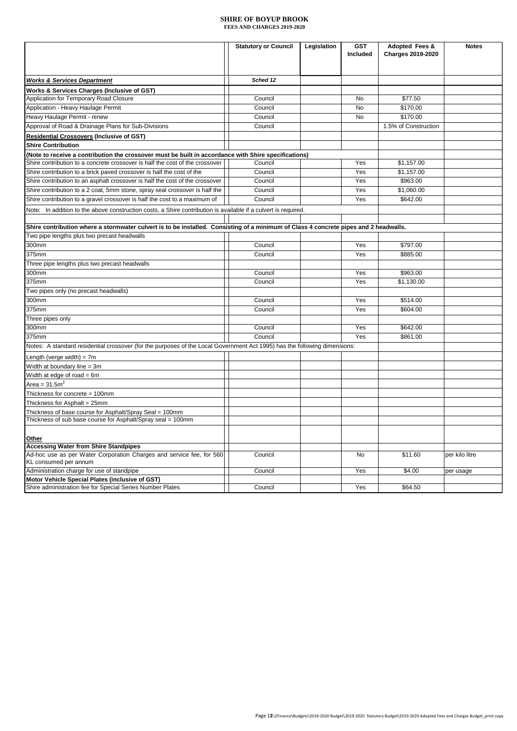|                                                                                                                                                                                      | <b>Statutory or Council</b> | Legislation | <b>GST</b><br>Included | Adopted Fees &<br><b>Charges 2019-2020</b> | <b>Notes</b>   |
|--------------------------------------------------------------------------------------------------------------------------------------------------------------------------------------|-----------------------------|-------------|------------------------|--------------------------------------------|----------------|
| <b>Works &amp; Services Department</b>                                                                                                                                               | Sched 12                    |             |                        |                                            |                |
|                                                                                                                                                                                      |                             |             |                        |                                            |                |
| Works & Services Charges (Inclusive of GST)<br>Application for Temporary Road Closure                                                                                                | Council                     |             | No                     | \$77.50                                    |                |
| Application - Heavy Haulage Permit                                                                                                                                                   | Council                     |             | No                     | \$170.00                                   |                |
| Heavy Haulage Permit - renew                                                                                                                                                         | Council                     |             | No                     | \$170.00                                   |                |
| Approval of Road & Drainage Plans for Sub-Divisions                                                                                                                                  | Council                     |             |                        | 1.5% of Construction                       |                |
|                                                                                                                                                                                      |                             |             |                        |                                            |                |
| <b>Residential Crossovers (Inclusive of GST)</b>                                                                                                                                     |                             |             |                        |                                            |                |
| <b>Shire Contribution</b>                                                                                                                                                            |                             |             |                        |                                            |                |
| (Note to receive a contribution the crossover must be built in accordance with Shire specifications)<br>Shire contribution to a concrete crossover is half the cost of the crossover | Council                     |             | Yes                    | \$1,157.00                                 |                |
| Shire contribution to a brick paved crossover is half the cost of the                                                                                                                | Council                     |             | Yes                    | \$1,157.00                                 |                |
| Shire contribution to an asphalt crossover is half the cost of the crossover                                                                                                         | Council                     |             | Yes                    | \$963.00                                   |                |
| Shire contribution to a 2 coat, 5mm stone, spray seal crossover is half the                                                                                                          | Council                     |             | Yes                    | \$1,060.00                                 |                |
| Shire contribution to a gravel crossover is half the cost to a maximum of                                                                                                            | Council                     |             | Yes                    | \$642.00                                   |                |
|                                                                                                                                                                                      |                             |             |                        |                                            |                |
| Note: In addition to the above construction costs, a Shire contribution is available if a culvert is required.                                                                       |                             |             |                        |                                            |                |
| Shire contribution where a stormwater culvert is to be installed. Consisting of a minimum of Class 4 concrete pipes and 2 headwalls.                                                 |                             |             |                        |                                            |                |
| Two pipe lengths plus two precast headwalls                                                                                                                                          |                             |             |                        |                                            |                |
| 300mm                                                                                                                                                                                | Council                     |             | Yes                    | \$797.00                                   |                |
| 375mm                                                                                                                                                                                | Council                     |             | Yes                    | \$885.00                                   |                |
| Three pipe lengths plus two precast headwalls                                                                                                                                        |                             |             |                        |                                            |                |
| 300mm                                                                                                                                                                                | Council                     |             | Yes                    | \$963.00                                   |                |
| 375mm                                                                                                                                                                                | Council                     |             | Yes                    | \$1.130.00                                 |                |
| Two pipes only (no precast headwalls)                                                                                                                                                |                             |             |                        |                                            |                |
| 300mm                                                                                                                                                                                | Council                     |             | Yes                    | \$514.00                                   |                |
| 375mm                                                                                                                                                                                | Council                     |             | Yes                    | \$604.00                                   |                |
| Three pipes only                                                                                                                                                                     |                             |             |                        |                                            |                |
| 300mm                                                                                                                                                                                | Council                     |             | Yes                    | \$642.00                                   |                |
| 375mm                                                                                                                                                                                | Council                     |             | Yes                    | \$861.00                                   |                |
| Notes: A standard residential crossover (for the purposes of the Local Government Act 1995) has the following dimensions:                                                            |                             |             |                        |                                            |                |
|                                                                                                                                                                                      |                             |             |                        |                                            |                |
| _ength (verge width) = 7m                                                                                                                                                            |                             |             |                        |                                            |                |
| Width at boundary line = 3m                                                                                                                                                          |                             |             |                        |                                            |                |
| Width at edge of road $= 6m$                                                                                                                                                         |                             |             |                        |                                            |                |
| Area = $31.52$                                                                                                                                                                       |                             |             |                        |                                            |                |
| Thickness for concrete = 100mm                                                                                                                                                       |                             |             |                        |                                            |                |
| Thickness for Asphalt = 25mm                                                                                                                                                         |                             |             |                        |                                            |                |
| Thickness of base course for Asphalt/Spray Seal = 100mm<br>Thickness of sub base course for Asphalt/Spray seal = 100mm                                                               |                             |             |                        |                                            |                |
|                                                                                                                                                                                      |                             |             |                        |                                            |                |
| Other                                                                                                                                                                                |                             |             |                        |                                            |                |
| <b>Accessing Water from Shire Standpipes</b>                                                                                                                                         |                             |             |                        |                                            |                |
| Ad-hoc use as per Water Corporation Charges and service fee, for 560                                                                                                                 | Council                     |             | No                     | \$11.60                                    | per kilo litre |
| KL consumed per annum                                                                                                                                                                |                             |             |                        |                                            |                |
| Administration charge for use of standpipe                                                                                                                                           | Council                     |             | Yes                    | \$4.00                                     | per usage      |
| Motor Vehicle Special Plates (inclusive of GST)                                                                                                                                      |                             |             |                        |                                            |                |
| Shire administration fee for Special Series Number Plates                                                                                                                            | Council                     |             | Yes                    | \$64.50                                    |                |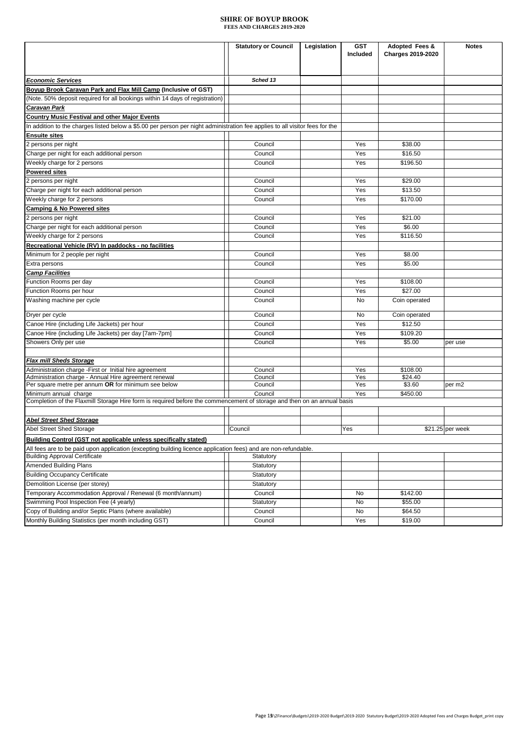|                                                                                                                                                        | <b>Statutory or Council</b> | Legislation | <b>GST</b> | Adopted Fees &           | <b>Notes</b>     |
|--------------------------------------------------------------------------------------------------------------------------------------------------------|-----------------------------|-------------|------------|--------------------------|------------------|
|                                                                                                                                                        |                             |             | Included   | <b>Charges 2019-2020</b> |                  |
|                                                                                                                                                        |                             |             |            |                          |                  |
| <b>Economic Services</b>                                                                                                                               | Sched 13                    |             |            |                          |                  |
| Boyup Brook Caravan Park and Flax Mill Camp (Inclusive of GST)                                                                                         |                             |             |            |                          |                  |
| (Note. 50% deposit required for all bookings within 14 days of registration)                                                                           |                             |             |            |                          |                  |
| <b>Caravan Park</b>                                                                                                                                    |                             |             |            |                          |                  |
| <b>Country Music Festival and other Major Events</b>                                                                                                   |                             |             |            |                          |                  |
| In addition to the charges listed below a \$5.00 per person per night administration fee applies to all visitor fees for the                           |                             |             |            |                          |                  |
| <b>Ensuite sites</b>                                                                                                                                   |                             |             |            |                          |                  |
| 2 persons per night                                                                                                                                    | Council                     |             | Yes        | \$38.00                  |                  |
| Charge per night for each additional person                                                                                                            | Council                     |             | Yes        | \$16.50                  |                  |
| Weekly charge for 2 persons                                                                                                                            | Council                     |             | Yes        | \$196.50                 |                  |
| <b>Powered sites</b>                                                                                                                                   |                             |             |            |                          |                  |
| 2 persons per night                                                                                                                                    | Council                     |             | Yes        | \$29.00                  |                  |
| Charge per night for each additional person                                                                                                            | Council                     |             | Yes        | \$13.50                  |                  |
| Weekly charge for 2 persons                                                                                                                            | Council                     |             | Yes        | \$170.00                 |                  |
| <b>Camping &amp; No Powered sites</b>                                                                                                                  |                             |             |            |                          |                  |
| 2 persons per night                                                                                                                                    | Council                     |             | Yes        | \$21.00                  |                  |
| Charge per night for each additional person                                                                                                            | Council                     |             | Yes        | \$6.00                   |                  |
| Weekly charge for 2 persons                                                                                                                            | Council                     |             | Yes        | \$116.50                 |                  |
| Recreational Vehicle (RV) In paddocks - no facilities                                                                                                  |                             |             |            |                          |                  |
| Minimum for 2 people per night                                                                                                                         | Council                     |             | Yes        | \$8.00                   |                  |
| Extra persons                                                                                                                                          | Council                     |             | Yes        | \$5.00                   |                  |
| <b>Camp Facilities</b>                                                                                                                                 |                             |             |            |                          |                  |
| Function Rooms per day                                                                                                                                 | Council                     |             | Yes        | \$108.00                 |                  |
| Function Rooms per hour                                                                                                                                | Council                     |             | Yes        | \$27.00                  |                  |
| Washing machine per cycle                                                                                                                              | Council                     |             | No         | Coin operated            |                  |
| Dryer per cycle                                                                                                                                        | Council                     |             | No         | Coin operated            |                  |
| Canoe Hire (including Life Jackets) per hour                                                                                                           | Council                     |             | Yes        | \$12.50                  |                  |
| Canoe Hire (including Life Jackets) per day [7am-7pm]                                                                                                  | Council                     |             | Yes        | \$109.20                 |                  |
| Showers Only per use                                                                                                                                   | Council                     |             | Yes        | \$5.00                   | per use          |
|                                                                                                                                                        |                             |             |            |                          |                  |
| <b>Flax mill Sheds Storage</b>                                                                                                                         |                             |             |            |                          |                  |
| Administration charge - First or Initial hire agreement                                                                                                | Council                     |             | Yes        | \$108.00                 |                  |
| Administration charge - Annual Hire agreement renewal                                                                                                  | Council                     |             | Yes        | \$24.40                  |                  |
| Per square metre per annum OR for minimum see below                                                                                                    | Council                     |             | Yes        | \$3.60                   | per m2           |
| Minimum annual charge                                                                                                                                  | Council                     |             | Yes        | \$450.00                 |                  |
| Completion of the Flaxmill Storage Hire form is required before the commencement of storage and then on an annual basis                                |                             |             |            |                          |                  |
|                                                                                                                                                        |                             |             |            |                          |                  |
| <b>Abel Street Shed Storage</b><br>Abel Street Shed Storage                                                                                            | Council                     |             | Yes        |                          | \$21.25 per week |
|                                                                                                                                                        |                             |             |            |                          |                  |
| Building Control (GST not applicable unless specifically stated)                                                                                       |                             |             |            |                          |                  |
| All fees are to be paid upon application (excepting building licence application fees) and are non-refundable.<br><b>Building Approval Certificate</b> | Statutory                   |             |            |                          |                  |
| <b>Amended Building Plans</b>                                                                                                                          | Statutory                   |             |            |                          |                  |
| <b>Building Occupancy Certificate</b>                                                                                                                  | Statutory                   |             |            |                          |                  |
| Demolition License (per storey)                                                                                                                        | Statutory                   |             |            |                          |                  |
| Temporary Accommodation Approval / Renewal (6 month/annum)                                                                                             | Council                     |             | No         | \$142.00                 |                  |
| Swimming Pool Inspection Fee (4 yearly)                                                                                                                | Statutory                   |             | No         | \$55.00                  |                  |
| Copy of Building and/or Septic Plans (where available)                                                                                                 | Council                     |             | No         | \$64.50                  |                  |
| Monthly Building Statistics (per month including GST)                                                                                                  | Council                     |             | Yes        | \$19.00                  |                  |